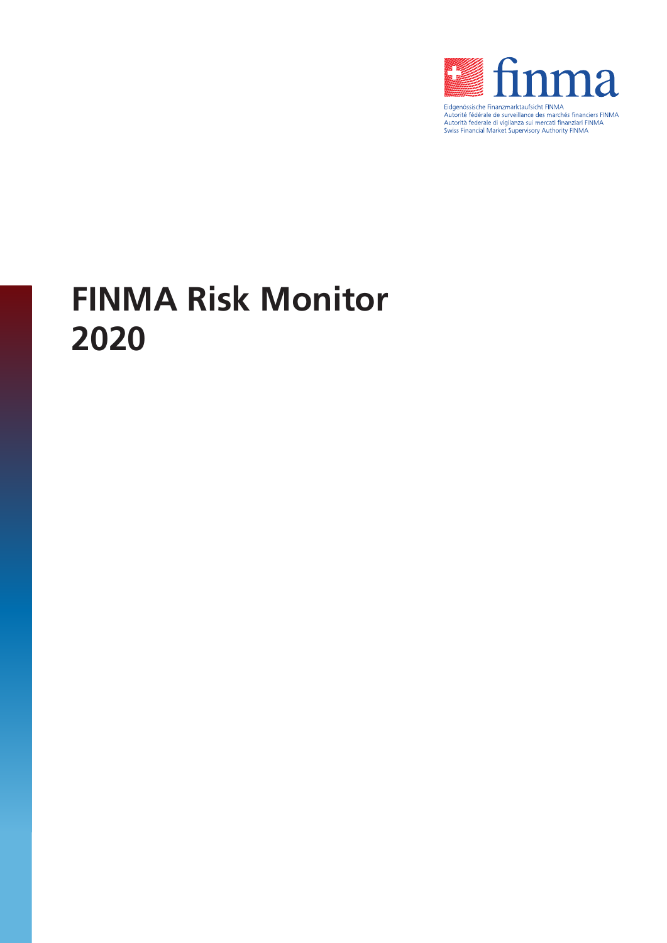

Eugenosissiche Finanzmarkaturskritt Finivine<br>Autorité fédérale de surveillance des marchés financiers FINMA<br>Autorità federale di vigilanza sui mercati finanziari FINMA<br>Swiss Financial Market Supervisory Authority FINMA

# **FINMA Risk Monitor 2020**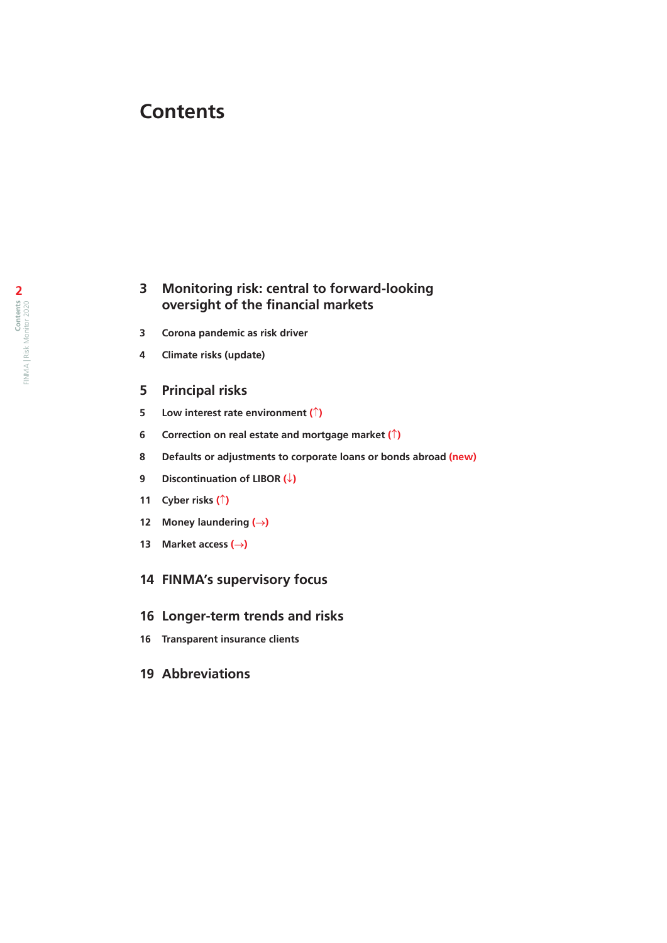### **Contents**

### **[Monitoring risk: central to forward-looking](#page-2-0)  [oversight of the financial markets](#page-2-0)**

- **[Corona pandemic as risk driver](#page-2-0)**
- **[Climate risks \(update\)](#page-3-0)**
- **[Principal risks](#page-4-0)**
- **[Low interest rate environment \(](#page-4-0)**↑**)**
- **[Correction on real estate and mortgage market \(](#page-5-0)**↑**)**
- **[Defaults or adjustments to corporate loans or bonds abroad \(new\)](#page-7-0)**
- **[Discontinuation of LIBOR \(](#page-8-0)**↓**)**
- **[Cyber risks \(](#page-10-0)**↑**)**
- **[Money laundering \(](#page-11-0)**→**)**
- **[Market access](#page-12-0) (**→**)**

### **[FINMA's supervisory focus](#page-13-0)**

- **[Longer-term trends and risks](#page-15-0)**
- **[Transparent insurance clients](#page-15-0)**
- **[Abbreviations](#page-18-0)**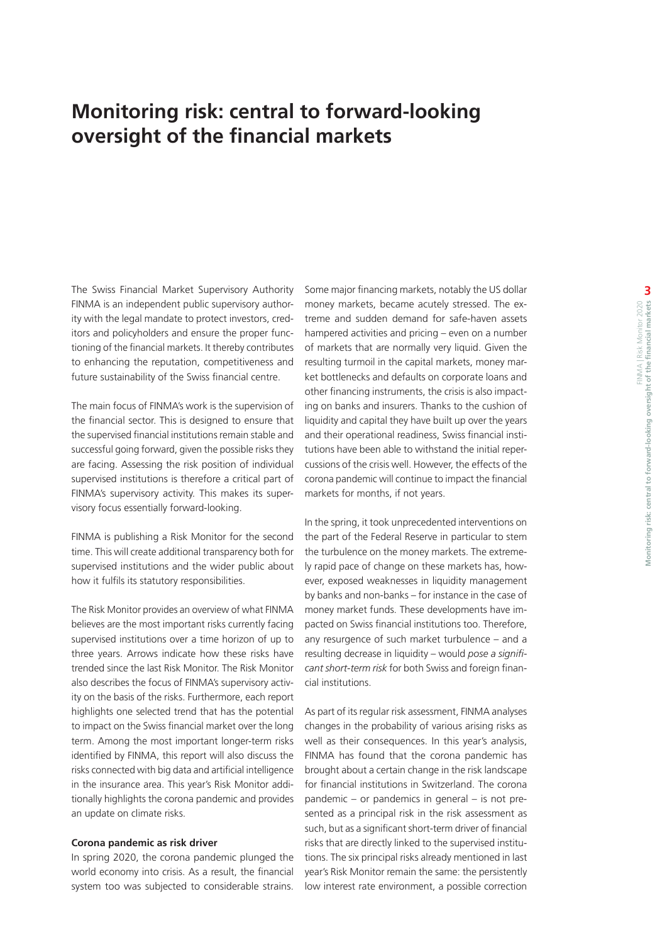# <span id="page-2-0"></span>**Monitoring risk: central to forward-looking oversight of the financial markets**

The Swiss Financial Market Supervisory Authority FINMA is an independent public supervisory authority with the legal mandate to protect investors, creditors and policyholders and ensure the proper functioning of the financial markets. It thereby contributes to enhancing the reputation, competitiveness and future sustainability of the Swiss financial centre.

The main focus of FINMA's work is the supervision of the financial sector. This is designed to ensure that the supervised financial institutions remain stable and successful going forward, given the possible risks they are facing. Assessing the risk position of individual supervised institutions is therefore a critical part of FINMA's supervisory activity. This makes its supervisory focus essentially forward-looking.

FINMA is publishing a Risk Monitor for the second time. This will create additional transparency both for supervised institutions and the wider public about how it fulfils its statutory responsibilities.

The Risk Monitor provides an overview of what FINMA believes are the most important risks currently facing supervised institutions over a time horizon of up to three years. Arrows indicate how these risks have trended since the last Risk Monitor. The Risk Monitor also describes the focus of FINMA's supervisory activity on the basis of the risks. Furthermore, each report highlights one selected trend that has the potential to impact on the Swiss financial market over the long term. Among the most important longer-term risks identified by FINMA, this report will also discuss the risks connected with big data and artificial intelligence in the insurance area. This year's Risk Monitor additionally highlights the corona pandemic and provides an update on climate risks.

#### **Corona pandemic as risk driver**

In spring 2020, the corona pandemic plunged the world economy into crisis. As a result, the financial system too was subjected to considerable strains. Some major financing markets, notably the US dollar money markets, became acutely stressed. The extreme and sudden demand for safe-haven assets hampered activities and pricing – even on a number of markets that are normally very liquid. Given the resulting turmoil in the capital markets, money market bottlenecks and defaults on corporate loans and other financing instruments, the crisis is also impacting on banks and insurers. Thanks to the cushion of liquidity and capital they have built up over the years and their operational readiness, Swiss financial institutions have been able to withstand the initial repercussions of the crisis well. However, the effects of the corona pandemic will continue to impact the financial markets for months, if not years.

In the spring, it took unprecedented interventions on the part of the Federal Reserve in particular to stem the turbulence on the money markets. The extremely rapid pace of change on these markets has, however, exposed weaknesses in liquidity management by banks and non-banks – for instance in the case of money market funds. These developments have impacted on Swiss financial institutions too. Therefore, any resurgence of such market turbulence – and a resulting decrease in liquidity – would *pose a significant short-term risk* for both Swiss and foreign financial institutions.

As part of its regular risk assessment, FINMA analyses changes in the probability of various arising risks as well as their consequences. In this year's analysis, FINMA has found that the corona pandemic has brought about a certain change in the risk landscape for financial institutions in Switzerland. The corona pandemic – or pandemics in general – is not presented as a principal risk in the risk assessment as such, but as a significant short-term driver of financial risks that are directly linked to the supervised institutions. The six principal risks already mentioned in last year's Risk Monitor remain the same: the persistently low interest rate environment, a possible correction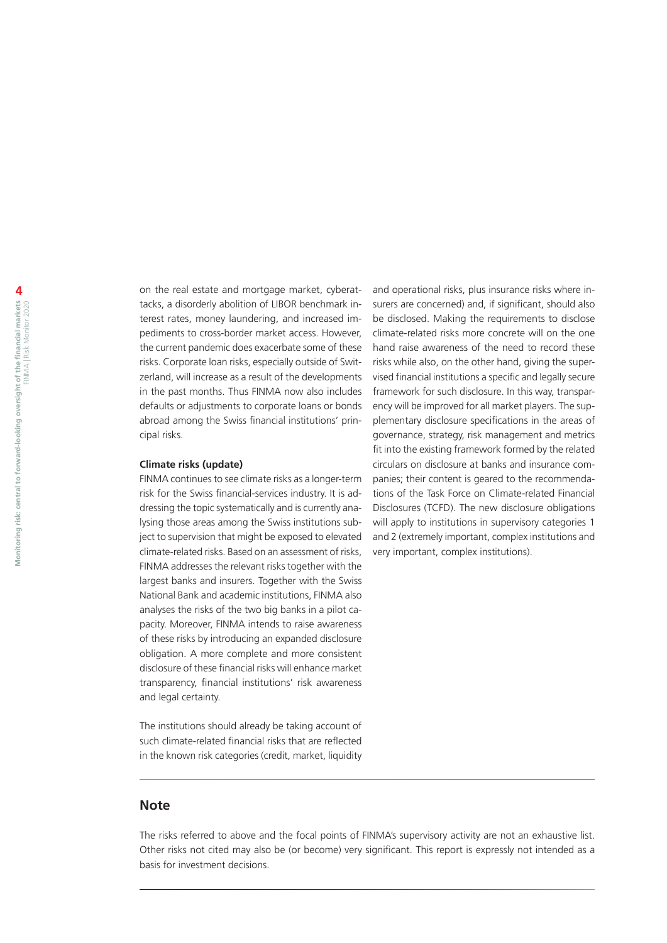<span id="page-3-0"></span>on the real estate and mortgage market, cyberattacks, a disorderly abolition of LIBOR benchmark interest rates, money laundering, and increased impediments to cross-border market access. However, the current pandemic does exacerbate some of these risks. Corporate loan risks, especially outside of Switzerland, will increase as a result of the developments in the past months. Thus FINMA now also includes defaults or adjustments to corporate loans or bonds abroad among the Swiss financial institutions' principal risks.

#### **Climate risks (update)**

FINMA continues to see climate risks as a longer-term risk for the Swiss financial-services industry. It is addressing the topic systematically and is currently analysing those areas among the Swiss institutions subject to supervision that might be exposed to elevated climate-related risks. Based on an assessment of risks, FINMA addresses the relevant risks together with the largest banks and insurers. Together with the Swiss National Bank and academic institutions, FINMA also analyses the risks of the two big banks in a pilot capacity. Moreover, FINMA intends to raise awareness of these risks by introducing an expanded disclosure obligation. A more complete and more consistent disclosure of these financial risks will enhance market transparency, financial institutions' risk awareness and legal certainty.

The institutions should already be taking account of such climate-related financial risks that are reflected in the known risk categories (credit, market, liquidity

and operational risks, plus insurance risks where insurers are concerned) and, if significant, should also be disclosed. Making the requirements to disclose climate-related risks more concrete will on the one hand raise awareness of the need to record these risks while also, on the other hand, giving the supervised financial institutions a specific and legally secure framework for such disclosure. In this way, transparency will be improved for all market players. The supplementary disclosure specifications in the areas of governance, strategy, risk management and metrics fit into the existing framework formed by the related circulars on disclosure at banks and insurance companies; their content is geared to the recommendations of the Task Force on Climate-related Financial Disclosures (TCFD). The new disclosure obligations will apply to institutions in supervisory categories 1 and 2 (extremely important, complex institutions and very important, complex institutions).

### **Note**

The risks referred to above and the focal points of FINMA's supervisory activity are not an exhaustive list. Other risks not cited may also be (or become) very significant. This report is expressly not intended as a basis for investment decisions.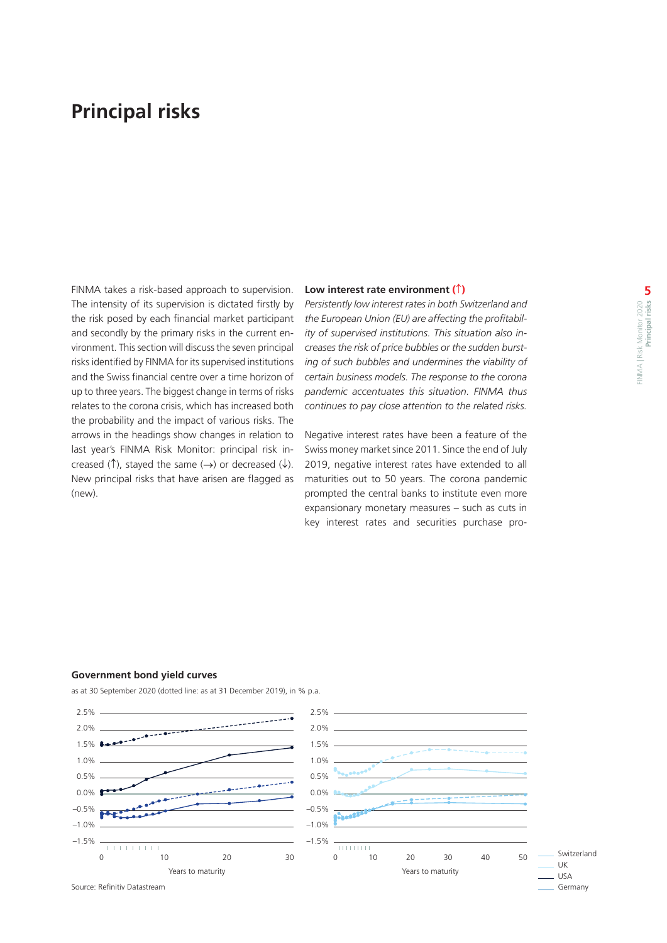# <span id="page-4-0"></span>**Principal risks**

FINMA takes a risk-based approach to supervision. The intensity of its supervision is dictated firstly by the risk posed by each financial market participant and secondly by the primary risks in the current environment. This section will discuss the seven principal risks identified by FINMA for its supervised institutions and the Swiss financial centre over a time horizon of up to three years. The biggest change in terms of risks relates to the corona crisis, which has increased both the probability and the impact of various risks. The arrows in the headings show changes in relation to last year's FINMA Risk Monitor: principal risk increased ( $\uparrow$ ), stayed the same ( $\rightarrow$ ) or decreased ( $\downarrow$ ). New principal risks that have arisen are flagged as (new).

#### **Low interest rate environment (**↑**)**

*Persistently low interest rates in both Switzerland and the European Union (EU) are affecting the profitability of supervised institutions. This situation also increases the risk of price bubbles or the sudden bursting of such bubbles and undermines the viability of certain business models. The response to the corona pandemic accentuates this situation. FINMA thus continues to pay close attention to the related risks.*

Negative interest rates have been a feature of the Swiss money market since 2011. Since the end of July 2019, negative interest rates have extended to all maturities out to 50 years. The corona pandemic prompted the central banks to institute even more expansionary monetary measures – such as cuts in key interest rates and securities purchase pro-

#### **Government bond yield curves**

as at 30 September 2020 (dotted line: as at 31 December 2019), in % p.a.





Source: Refinitiv Datastream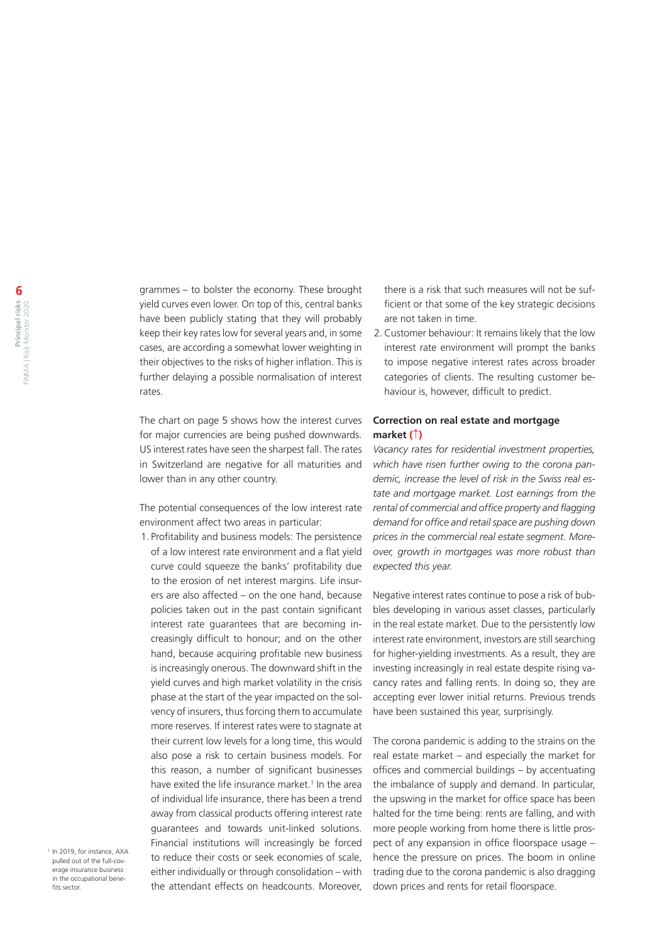<span id="page-5-0"></span>grammes – to bolster the economy. These brought yield curves even lower. On top of this, central banks have been publicly stating that they will probably keep their key rates low for several years and, in some cases, are according a somewhat lower weighting in their objectives to the risks of higher inflation. This is further delaying a possible normalisation of interest rates.

The chart on page 5 shows how the interest curves for major currencies are being pushed downwards. US interest rates have seen the sharpest fall. The rates in Switzerland are negative for all maturities and lower than in any other country.

The potential consequences of the low interest rate environment affect two areas in particular:

1. Profitability and business models: The persistence of a low interest rate environment and a flat yield curve could squeeze the banks' profitability due to the erosion of net interest margins. Life insurers are also affected – on the one hand, because policies taken out in the past contain significant interest rate guarantees that are becoming increasingly difficult to honour; and on the other hand, because acquiring profitable new business is increasingly onerous. The downward shift in the yield curves and high market volatility in the crisis phase at the start of the year impacted on the solvency of insurers, thus forcing them to accumulate more reserves. If interest rates were to stagnate at their current low levels for a long time, this would also pose a risk to certain business models. For this reason, a number of significant businesses have exited the life insurance market.<sup>1</sup> In the area of individual life insurance, there has been a trend away from classical products offering interest rate guarantees and towards unit-linked solutions. Financial institutions will increasingly be forced to reduce their costs or seek economies of scale, either individually or through consolidation – with the attendant effects on headcounts. Moreover,

<sup>1</sup> In 2019, for instance, AXA pulled out of the full-coverage insurance business in the occupational benefits sector.

there is a risk that such measures will not be sufficient or that some of the key strategic decisions are not taken in time.

2.Customer behaviour: It remains likely that the low interest rate environment will prompt the banks to impose negative interest rates across broader categories of clients. The resulting customer behaviour is, however, difficult to predict.

#### **Correction on real estate and mortgage market (**↑**)**

*Vacancy rates for residential investment properties, which have risen further owing to the corona pandemic, increase the level of risk in the Swiss real estate and mortgage market. Lost earnings from the rental of commercial and office property and flagging demand for office and retail space are pushing down prices in the commercial real estate segment. Moreover, growth in mortgages was more robust than expected this year.*

Negative interest rates continue to pose a risk of bubbles developing in various asset classes, particularly in the real estate market. Due to the persistently low interest rate environment, investors are still searching for higher-yielding investments. As a result, they are investing increasingly in real estate despite rising vacancy rates and falling rents. In doing so, they are accepting ever lower initial returns. Previous trends have been sustained this year, surprisingly.

The corona pandemic is adding to the strains on the real estate market – and especially the market for offices and commercial buildings – by accentuating the imbalance of supply and demand. In particular, the upswing in the market for office space has been halted for the time being: rents are falling, and with more people working from home there is little prospect of any expansion in office floorspace usage – hence the pressure on prices. The boom in online trading due to the corona pandemic is also dragging down prices and rents for retail floorspace.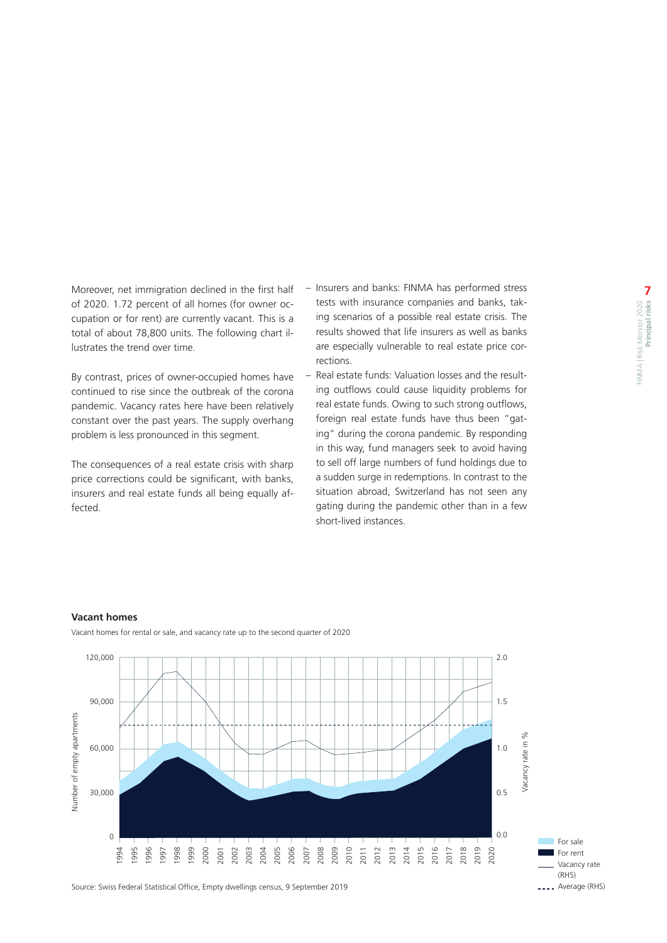Moreover, net immigration declined in the first half of 2020. 1.72 percent of all homes (for owner occupation or for rent) are currently vacant. This is a total of about 78,800 units. The following chart illustrates the trend over time.

By contrast, prices of owner-occupied homes have continued to rise since the outbreak of the corona pandemic. Vacancy rates here have been relatively constant over the past years. The supply overhang problem is less pronounced in this segment.

The consequences of a real estate crisis with sharp price corrections could be significant, with banks, insurers and real estate funds all being equally affected.

- Insurers and banks: FINMA has performed stress tests with insurance companies and banks, taking scenarios of a possible real estate crisis. The results showed that life insurers as well as banks are especially vulnerable to real estate price corrections.
	- Real estate funds: Valuation losses and the resulting outflows could cause liquidity problems for real estate funds. Owing to such strong outflows, foreign real estate funds have thus been "gating" during the corona pandemic. By responding in this way, fund managers seek to avoid having to sell off large numbers of fund holdings due to a sudden surge in redemptions. In contrast to the situation abroad, Switzerland has not seen any gating during the pandemic other than in a few short-lived instances.

#### **Vacant homes**

Vacant homes for rental or sale, and vacancy rate up to the second quarter of 2020



Source: Swiss Federal Statistical Office, Empty dwellings census, 9 September 2019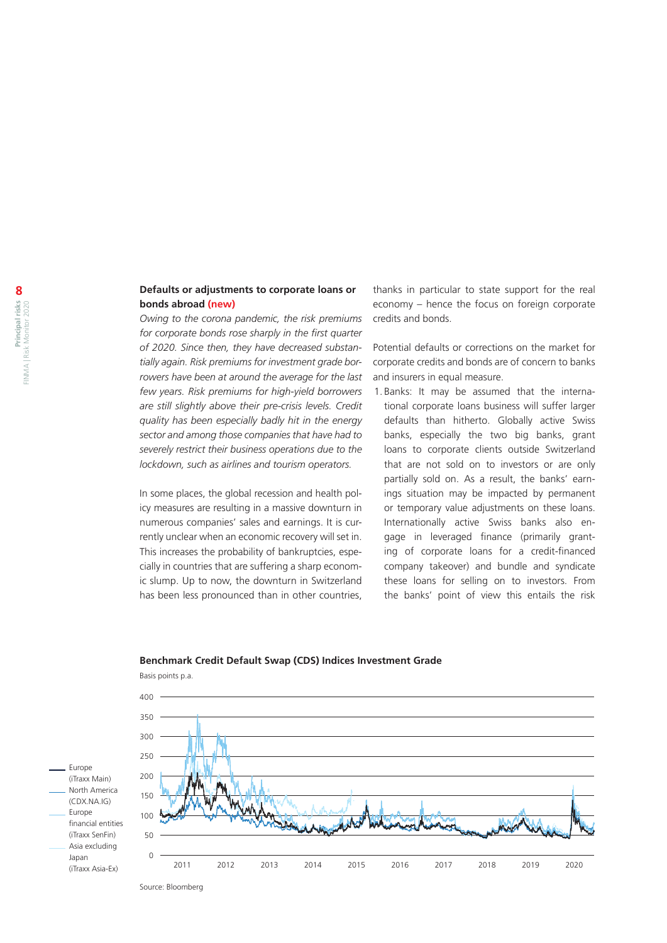#### <span id="page-7-0"></span>**Defaults or adjustments to corporate loans or bonds abroad (new)**

*Owing to the corona pandemic, the risk premiums*  for corporate bonds rose sharply in the first quarter *of 2020. Since then, they have decreased substantially again. Risk premiums for investment grade borrowers have been at around the average for the last few years. Risk premiums for high-yield borrowers are still slightly above their pre-crisis levels. Credit quality has been especially badly hit in the energy sector and among those companies that have had to severely restrict their business operations due to the lockdown, such as airlines and tourism operators.*

In some places, the global recession and health policy measures are resulting in a massive downturn in numerous companies' sales and earnings. It is currently unclear when an economic recovery will set in. This increases the probability of bankruptcies, especially in countries that are suffering a sharp economic slump. Up to now, the downturn in Switzerland has been less pronounced than in other countries,

thanks in particular to state support for the real economy – hence the focus on foreign corporate credits and bonds.

Potential defaults or corrections on the market for corporate credits and bonds are of concern to banks and insurers in equal measure.

1. Banks: It may be assumed that the international corporate loans business will suffer larger defaults than hitherto. Globally active Swiss banks, especially the two big banks, grant loans to corporate clients outside Switzerland that are not sold on to investors or are only partially sold on. As a result, the banks' earnings situation may be impacted by permanent or temporary value adjustments on these loans. Internationally active Swiss banks also engage in leveraged finance (primarily granting of corporate loans for a credit-financed company takeover) and bundle and syndicate these loans for selling on to investors. From the banks' point of view this entails the risk

#### **Benchmark Credit Default Swap (CDS) Indices Investment Grade**

Basis points p.a.



Japan (iTraxx Asia-Ex)

Europe

Europe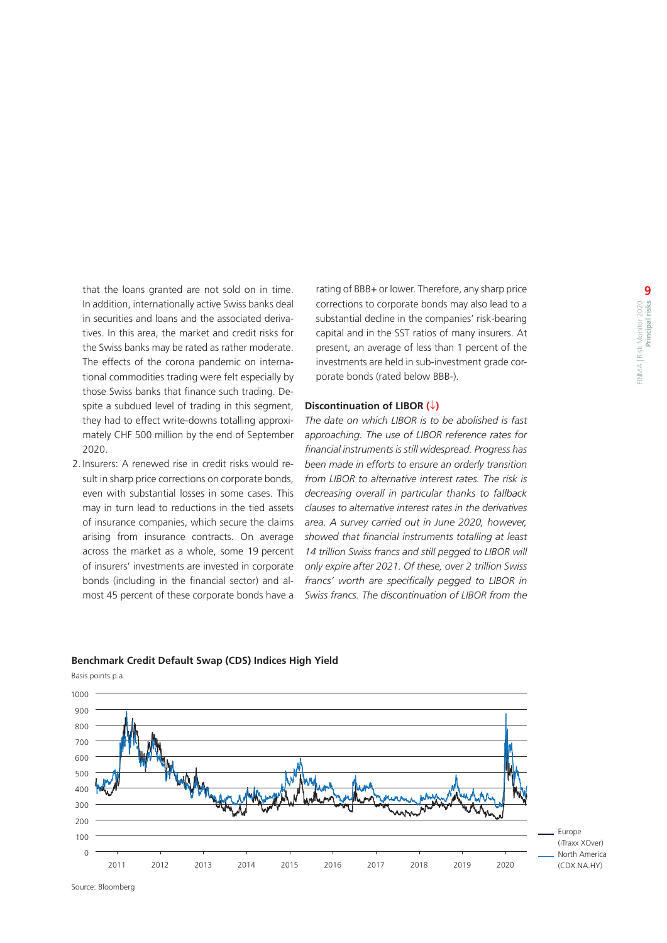<span id="page-8-0"></span>that the loans granted are not sold on in time. In addition, internationally active Swiss banks deal in securities and loans and the associated derivatives. In this area, the market and credit risks for the Swiss banks may be rated as rather moderate. The effects of the corona pandemic on international commodities trading were felt especially by those Swiss banks that finance such trading. Despite a subdued level of trading in this segment, they had to effect write-downs totalling approximately CHF 500 million by the end of September 2020.

2. Insurers: A renewed rise in credit risks would result in sharp price corrections on corporate bonds, even with substantial losses in some cases. This may in turn lead to reductions in the tied assets of insurance companies, which secure the claims arising from insurance contracts. On average across the market as a whole, some 19 percent of insurers' investments are invested in corporate bonds (including in the financial sector) and almost 45 percent of these corporate bonds have a rating of BBB+ or lower. Therefore, any sharp price corrections to corporate bonds may also lead to a substantial decline in the companies' risk-bearing capital and in the SST ratios of many insurers. At present, an average of less than 1 percent of the investments are held in sub-investment grade corporate bonds (rated below BBB-).

#### **Discontinuation of LIBOR (**↓**)**

*The date on which LIBOR is to be abolished is fast approaching. The use of LIBOR reference rates for financial instruments is still widespread. Progress has been made in efforts to ensure an orderly transition from LIBOR to alternative interest rates. The risk is decreasing overall in particular thanks to fallback clauses to alternative interest rates in the derivatives area. A survey carried out in June 2020, however, showed that financial instruments totalling at least 14 trillion Swiss francs and still pegged to LIBOR will only expire after 2021. Of these, over 2 trillion Swiss francs' worth are specifically pegged to LIBOR in Swiss francs. The discontinuation of LIBOR from the* 

#### $\overline{0}$ 100 200 300 400 500 600 700 800 900 1000 2011 2012 2013 2014 2015 2016 2017 2018 2019 2020 Europe (iTraxx XOver) North America (CDX.NA.HY)

#### **Benchmark Credit Default Swap (CDS) Indices High Yield**

Basis points p.a.

Source: Bloomberg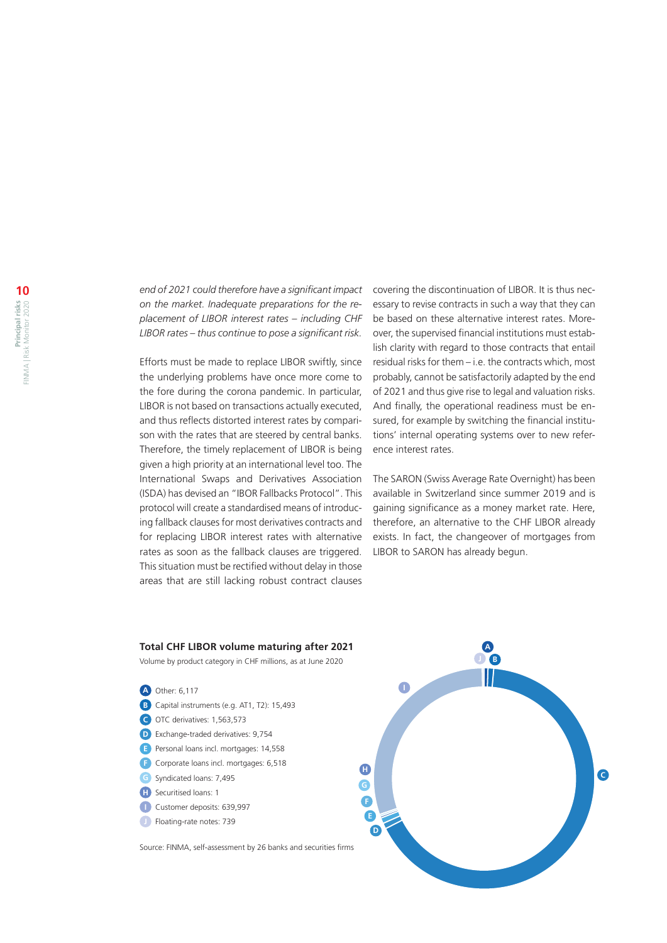*end of 2021 could therefore have a significant impact on the market. Inadequate preparations for the replacement of LIBOR interest rates – including CHF LIBOR rates – thus continue to pose a significant risk.*

Efforts must be made to replace LIBOR swiftly, since the underlying problems have once more come to the fore during the corona pandemic. In particular, LIBOR is not based on transactions actually executed, and thus reflects distorted interest rates by comparison with the rates that are steered by central banks. Therefore, the timely replacement of LIBOR is being given a high priority at an international level too. The International Swaps and Derivatives Association (ISDA) has devised an "IBOR Fallbacks Protocol". This protocol will create a standardised means of introducing fallback clauses for most derivatives contracts and for replacing LIBOR interest rates with alternative rates as soon as the fallback clauses are triggered. This situation must be rectified without delay in those areas that are still lacking robust contract clauses

covering the discontinuation of LIBOR. It is thus necessary to revise contracts in such a way that they can be based on these alternative interest rates. Moreover, the supervised financial institutions must establish clarity with regard to those contracts that entail residual risks for them – i.e. the contracts which, most probably, cannot be satisfactorily adapted by the end of 2021 and thus give rise to legal and valuation risks. And finally, the operational readiness must be ensured, for example by switching the financial institutions' internal operating systems over to new reference interest rates.

The SARON (Swiss Average Rate Overnight) has been available in Switzerland since summer 2019 and is gaining significance as a money market rate. Here, therefore, an alternative to the CHF LIBOR already exists. In fact, the changeover of mortgages from LIBOR to SARON has already begun.

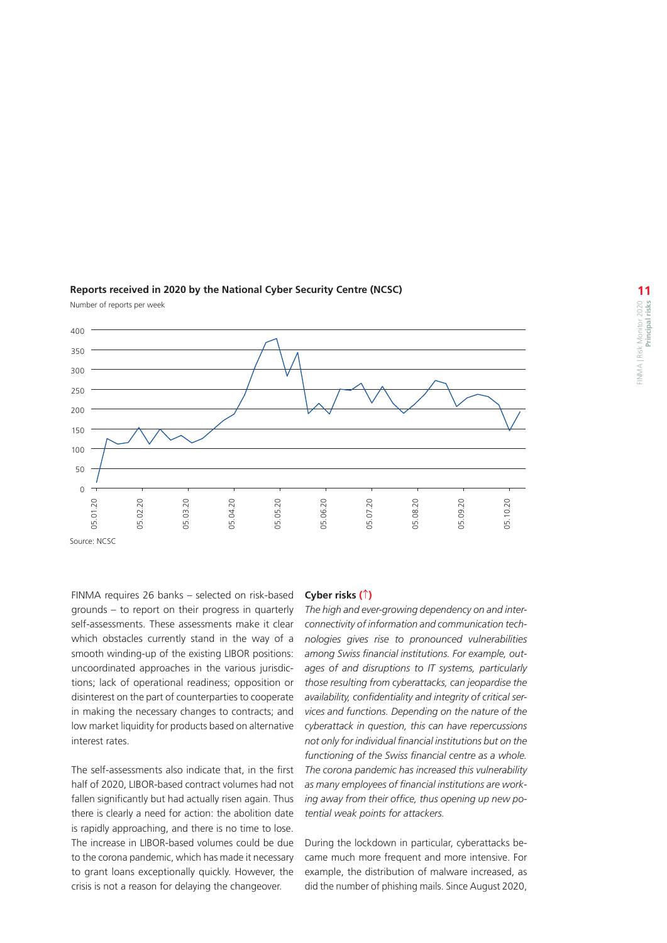#### 0 50 100 150  $200$ 250 300 350 400 05.01.20 05.02.20 05.03.20 05.04.20 05.05.20 05.06.20 05.07.20 05.08.20 05.09.20 05.10.20

#### <span id="page-10-0"></span>**Reports received in 2020 by the National Cyber Security Centre (NCSC)**

FINMA requires 26 banks – selected on risk-based grounds – to report on their progress in quarterly self-assessments. These assessments make it clear which obstacles currently stand in the way of a smooth winding-up of the existing LIBOR positions: uncoordinated approaches in the various jurisdictions; lack of operational readiness; opposition or disinterest on the part of counterparties to cooperate in making the necessary changes to contracts; and low market liquidity for products based on alternative interest rates.

The self-assessments also indicate that, in the first half of 2020, LIBOR-based contract volumes had not fallen significantly but had actually risen again. Thus there is clearly a need for action: the abolition date is rapidly approaching, and there is no time to lose. The increase in LIBOR-based volumes could be due to the corona pandemic, which has made it necessary to grant loans exceptionally quickly. However, the crisis is not a reason for delaying the changeover.

#### **Cyber risks (**↑**)**

*The high and ever-growing dependency on and interconnectivity of information and communication technologies gives rise to pronounced vulnerabilities among Swiss financial institutions. For example, outages of and disruptions to IT systems, particularly those resulting from cyberattacks, can jeopardise the availability, confidentiality and integrity of critical services and functions. Depending on the nature of the cyberattack in question, this can have repercussions not only for individual financial institutions but on the functioning of the Swiss financial centre as a whole. The corona pandemic has increased this vulnerability as many employees of financial institutions are working away from their office, thus opening up new potential weak points for attackers.*

During the lockdown in particular, cyberattacks became much more frequent and more intensive. For example, the distribution of malware increased, as did the number of phishing mails. Since August 2020,

Source: NCSC

Number of reports per week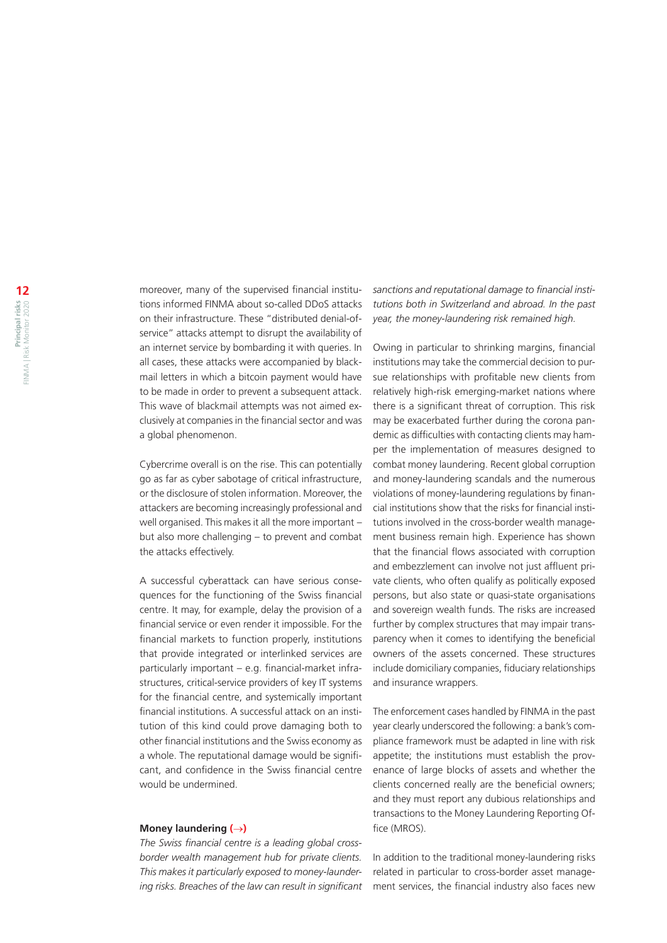<span id="page-11-0"></span>moreover, many of the supervised financial institutions informed FINMA about so-called DDoS attacks on their infrastructure. These "distributed denial-ofservice" attacks attempt to disrupt the availability of an internet service by bombarding it with queries. In all cases, these attacks were accompanied by blackmail letters in which a bitcoin payment would have to be made in order to prevent a subsequent attack. This wave of blackmail attempts was not aimed exclusively at companies in the financial sector and was a global phenomenon.

Cybercrime overall is on the rise. This can potentially go as far as cyber sabotage of critical infrastructure, or the disclosure of stolen information. Moreover, the attackers are becoming increasingly professional and well organised. This makes it all the more important – but also more challenging – to prevent and combat the attacks effectively.

A successful cyberattack can have serious consequences for the functioning of the Swiss financial centre. It may, for example, delay the provision of a financial service or even render it impossible. For the financial markets to function properly, institutions that provide integrated or interlinked services are particularly important – e.g. financial-market infrastructures, critical-service providers of key IT systems for the financial centre, and systemically important financial institutions. A successful attack on an institution of this kind could prove damaging both to other financial institutions and the Swiss economy as a whole. The reputational damage would be significant, and confidence in the Swiss financial centre would be undermined.

#### **Money laundering (**→**)**

*The Swiss financial centre is a leading global crossborder wealth management hub for private clients. This makes it particularly exposed to money-laundering risks. Breaches of the law can result in significant*  *sanctions and reputational damage to financial institutions both in Switzerland and abroad. In the past year, the money-laundering risk remained high.*

Owing in particular to shrinking margins, financial institutions may take the commercial decision to pursue relationships with profitable new clients from relatively high-risk emerging-market nations where there is a significant threat of corruption. This risk may be exacerbated further during the corona pandemic as difficulties with contacting clients may hamper the implementation of measures designed to combat money laundering. Recent global corruption and money-laundering scandals and the numerous violations of money-laundering regulations by financial institutions show that the risks for financial institutions involved in the cross-border wealth management business remain high. Experience has shown that the financial flows associated with corruption and embezzlement can involve not just affluent private clients, who often qualify as politically exposed persons, but also state or quasi-state organisations and sovereign wealth funds. The risks are increased further by complex structures that may impair transparency when it comes to identifying the beneficial owners of the assets concerned. These structures include domiciliary companies, fiduciary relationships and insurance wrappers.

The enforcement cases handled by FINMA in the past year clearly underscored the following: a bank's compliance framework must be adapted in line with risk appetite; the institutions must establish the provenance of large blocks of assets and whether the clients concerned really are the beneficial owners; and they must report any dubious relationships and transactions to the Money Laundering Reporting Office (MROS).

In addition to the traditional money-laundering risks related in particular to cross-border asset management services, the financial industry also faces new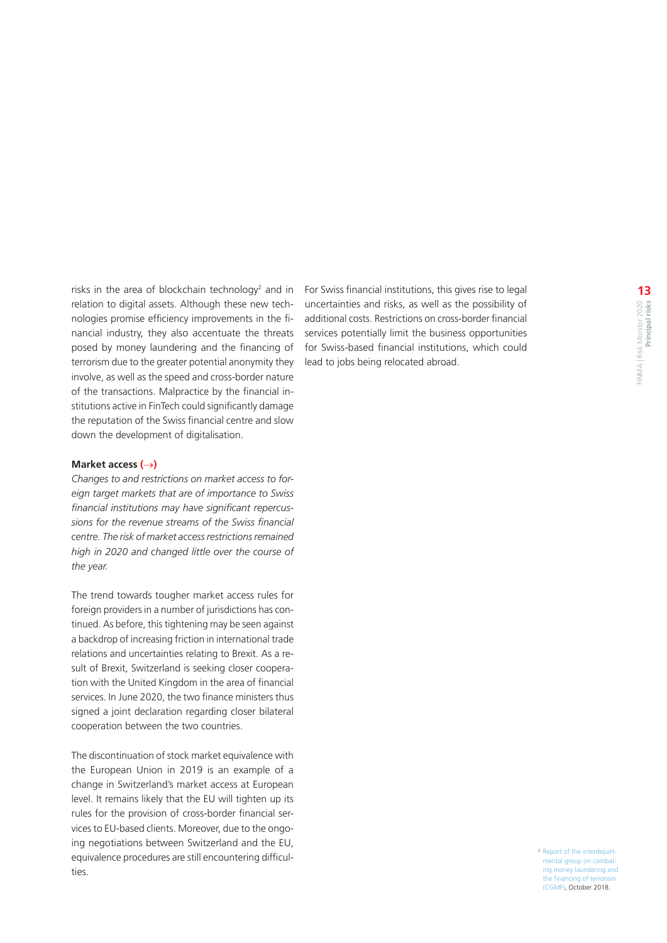<span id="page-12-0"></span>risks in the area of blockchain technology<sup>2</sup> and in relation to digital assets. Although these new technologies promise efficiency improvements in the financial industry, they also accentuate the threats posed by money laundering and the financing of terrorism due to the greater potential anonymity they involve, as well as the speed and cross-border nature of the transactions. Malpractice by the financial institutions active in FinTech could significantly damage the reputation of the Swiss financial centre and slow down the development of digitalisation.

#### **Market access (**→**)**

*Changes to and restrictions on market access to foreign target markets that are of importance to Swiss financial institutions may have significant repercussions for the revenue streams of the Swiss financial centre. The risk of market access restrictions remained high in 2020 and changed little over the course of the year.* 

The trend towards tougher market access rules for foreign providers in a number of jurisdictions has continued. As before, this tightening may be seen against a backdrop of increasing friction in international trade relations and uncertainties relating to Brexit. As a result of Brexit, Switzerland is seeking closer cooperation with the United Kingdom in the area of financial services. In June 2020, the two finance ministers thus signed a joint declaration regarding closer bilateral cooperation between the two countries.

The discontinuation of stock market equivalence with the European Union in 2019 is an example of a change in Switzerland's market access at European level. It remains likely that the EU will tighten up its rules for the provision of cross-border financial services to EU-based clients. Moreover, due to the ongoing negotiations between Switzerland and the EU, equivalence procedures are still encountering difficulties.

For Swiss financial institutions, this gives rise to legal uncertainties and risks, as well as the possibility of additional costs. Restrictions on cross-border financial services potentially limit the business opportunities for Swiss-based financial institutions, which could lead to jobs being relocated abroad.

> <sup>2</sup> [Report of the interdepart](https://www.newsd.admin.ch/newsd/message/attachments/56166.pdf)[mental group on combat](https://www.newsd.admin.ch/newsd/message/attachments/56166.pdf)[ing money laundering and](https://www.newsd.admin.ch/newsd/message/attachments/56166.pdf)  the financing of terr [\(CGMF\)](https://www.newsd.admin.ch/newsd/message/attachments/56166.pdf), October 2018.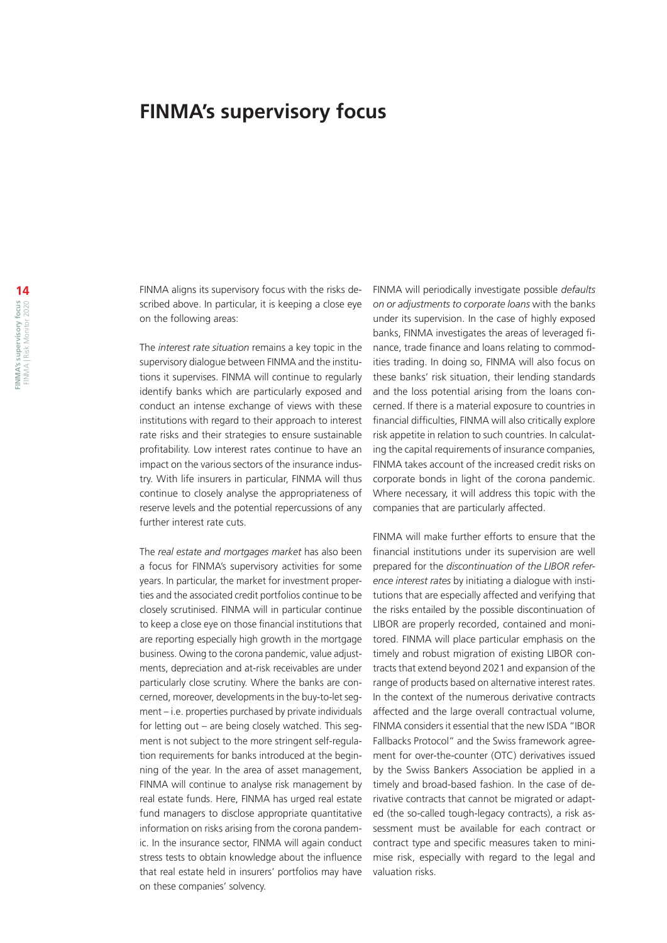### <span id="page-13-0"></span>**FINMA's supervisory focus**

FINMA aligns its supervisory focus with the risks described above. In particular, it is keeping a close eye on the following areas:

The *interest rate situation* remains a key topic in the supervisory dialogue between FINMA and the institutions it supervises. FINMA will continue to regularly identify banks which are particularly exposed and conduct an intense exchange of views with these institutions with regard to their approach to interest rate risks and their strategies to ensure sustainable profitability. Low interest rates continue to have an impact on the various sectors of the insurance industry. With life insurers in particular, FINMA will thus continue to closely analyse the appropriateness of reserve levels and the potential repercussions of any further interest rate cuts.

The *real estate and mortgages market* has also been a focus for FINMA's supervisory activities for some years. In particular, the market for investment properties and the associated credit portfolios continue to be closely scrutinised. FINMA will in particular continue to keep a close eye on those financial institutions that are reporting especially high growth in the mortgage business. Owing to the corona pandemic, value adjustments, depreciation and at-risk receivables are under particularly close scrutiny. Where the banks are concerned, moreover, developments in the buy-to-let segment – i.e. properties purchased by private individuals for letting out – are being closely watched. This segment is not subject to the more stringent self-regulation requirements for banks introduced at the beginning of the year. In the area of asset management, FINMA will continue to analyse risk management by real estate funds. Here, FINMA has urged real estate fund managers to disclose appropriate quantitative information on risks arising from the corona pandemic. In the insurance sector, FINMA will again conduct stress tests to obtain knowledge about the influence that real estate held in insurers' portfolios may have on these companies' solvency.

FINMA will periodically investigate possible *defaults on or adjustments to corporate loans* with the banks under its supervision. In the case of highly exposed banks, FINMA investigates the areas of leveraged finance, trade finance and loans relating to commodities trading. In doing so, FINMA will also focus on these banks' risk situation, their lending standards and the loss potential arising from the loans concerned. If there is a material exposure to countries in financial difficulties, FINMA will also critically explore risk appetite in relation to such countries. In calculating the capital requirements of insurance companies, FINMA takes account of the increased credit risks on corporate bonds in light of the corona pandemic. Where necessary, it will address this topic with the companies that are particularly affected.

FINMA will make further efforts to ensure that the financial institutions under its supervision are well prepared for the *discontinuation of the LIBOR reference interest rates* by initiating a dialogue with institutions that are especially affected and verifying that the risks entailed by the possible discontinuation of LIBOR are properly recorded, contained and monitored. FINMA will place particular emphasis on the timely and robust migration of existing LIBOR contracts that extend beyond 2021 and expansion of the range of products based on alternative interest rates. In the context of the numerous derivative contracts affected and the large overall contractual volume, FINMA considers it essential that the new ISDA "IBOR Fallbacks Protocol" and the Swiss framework agreement for over-the-counter (OTC) derivatives issued by the Swiss Bankers Association be applied in a timely and broad-based fashion. In the case of derivative contracts that cannot be migrated or adapted (the so-called tough-legacy contracts), a risk assessment must be available for each contract or contract type and specific measures taken to minimise risk, especially with regard to the legal and valuation risks.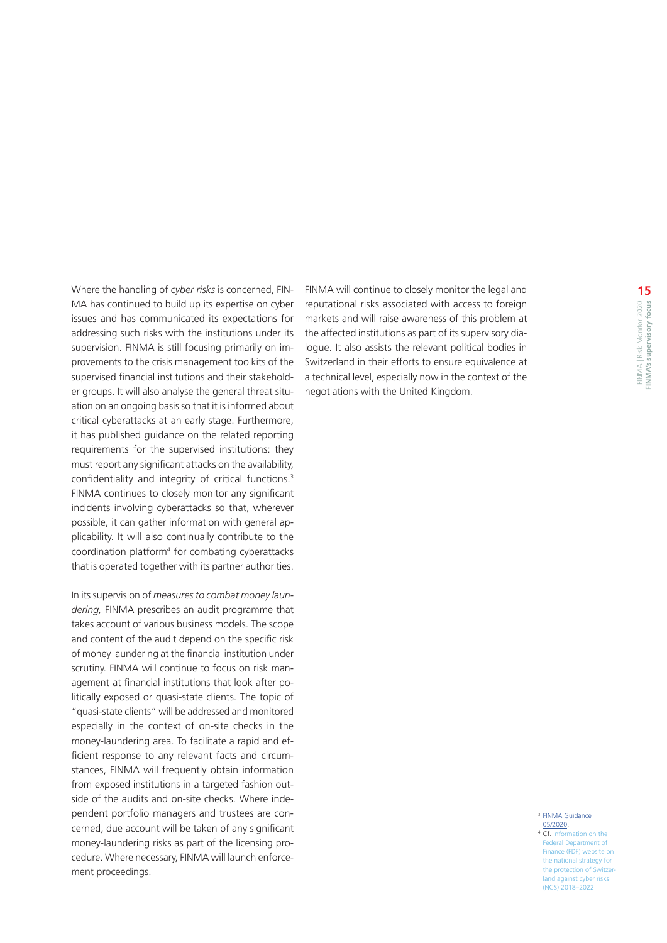Where the handling of *cyber risks* is concerned, FIN-MA has continued to build up its expertise on cyber issues and has communicated its expectations for addressing such risks with the institutions under its supervision. FINMA is still focusing primarily on improvements to the crisis management toolkits of the supervised financial institutions and their stakeholder groups. It will also analyse the general threat situation on an ongoing basis so that it is informed about critical cyberattacks at an early stage. Furthermore, it has published guidance on the related reporting requirements for the supervised institutions: they must report any significant attacks on the availability, confidentiality and integrity of critical functions.<sup>3</sup> FINMA continues to closely monitor any significant incidents involving cyberattacks so that, wherever possible, it can gather information with general applicability. It will also continually contribute to the coordination platform4 for combating cyberattacks that is operated together with its partner authorities.

In its supervision of *measures to combat money laundering,* FINMA prescribes an audit programme that takes account of various business models. The scope and content of the audit depend on the specific risk of money laundering at the financial institution under scrutiny. FINMA will continue to focus on risk management at financial institutions that look after politically exposed or quasi-state clients. The topic of "quasi-state clients" will be addressed and monitored especially in the context of on-site checks in the money-laundering area. To facilitate a rapid and efficient response to any relevant facts and circumstances, FINMA will frequently obtain information from exposed institutions in a targeted fashion outside of the audits and on-site checks. Where independent portfolio managers and trustees are concerned, due account will be taken of any significant money-laundering risks as part of the licensing procedure. Where necessary, FINMA will launch enforcement proceedings.

FINMA will continue to closely monitor the legal and reputational risks associated with access to foreign markets and will raise awareness of this problem at the affected institutions as part of its supervisory dialogue. It also assists the relevant political bodies in Switzerland in their efforts to ensure equivalence at a technical level, especially now in the context of the negotiations with the United Kingdom.

> <sup>3</sup> FINMA Guidance [05/2020](https://www.finma.ch/en/~/media/finma/dokumente/dokumentencenter/myfinma/4dokumentation/finma-aufsichtsmitteilungen/20200507-finma-aufsichtsmitteilung-05-2020.pdf?la=en). Cf. information on the [Federal Department of](https://www.efd.admin.ch/efd/de/home/themen/Digitalisierung/informationssicherung-in-der-elektronischen-kommunikation.html)

[Finance \(FDF\) website on](https://www.efd.admin.ch/efd/de/home/themen/Digitalisierung/informationssicherung-in-der-elektronischen-kommunikation.html)  [the national strategy for](https://www.efd.admin.ch/efd/de/home/themen/Digitalisierung/informationssicherung-in-der-elektronischen-kommunikation.html)  [the protection of Switzer](https://www.efd.admin.ch/efd/de/home/themen/Digitalisierung/informationssicherung-in-der-elektronischen-kommunikation.html)[land against cyber risks](https://www.efd.admin.ch/efd/de/home/themen/Digitalisierung/informationssicherung-in-der-elektronischen-kommunikation.html)  [\(NCS\) 2018–2022](https://www.efd.admin.ch/efd/de/home/themen/Digitalisierung/informationssicherung-in-der-elektronischen-kommunikation.html).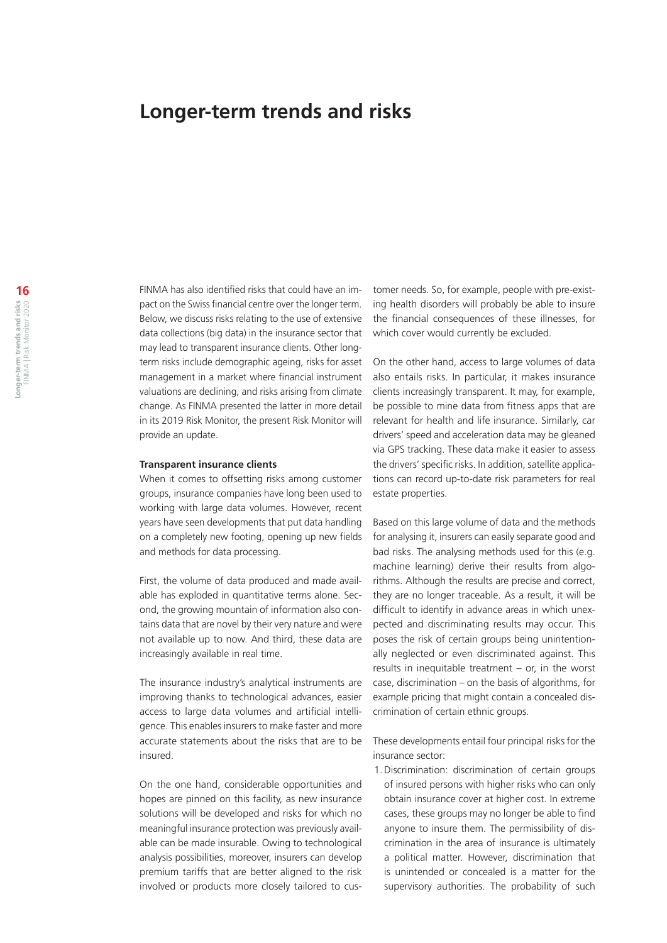# <span id="page-15-0"></span>**Longer-term trends and risks**

FINMA has also identified risks that could have an impact on the Swiss financial centre over the longer term. Below, we discuss risks relating to the use of extensive data collections (big data) in the insurance sector that may lead to transparent insurance clients. Other longterm risks include demographic ageing, risks for asset management in a market where financial instrument valuations are declining, and risks arising from climate change. As FINMA presented the latter in more detail in its 2019 Risk Monitor, the present Risk Monitor will provide an update.

#### **Transparent insurance clients**

When it comes to offsetting risks among customer groups, insurance companies have long been used to working with large data volumes. However, recent years have seen developments that put data handling on a completely new footing, opening up new fields and methods for data processing.

First, the volume of data produced and made available has exploded in quantitative terms alone. Second, the growing mountain of information also contains data that are novel by their very nature and were not available up to now. And third, these data are increasingly available in real time.

The insurance industry's analytical instruments are improving thanks to technological advances, easier access to large data volumes and artificial intelligence. This enables insurers to make faster and more accurate statements about the risks that are to be insured.

On the one hand, considerable opportunities and hopes are pinned on this facility, as new insurance solutions will be developed and risks for which no meaningful insurance protection was previously available can be made insurable. Owing to technological analysis possibilities, moreover, insurers can develop premium tariffs that are better aligned to the risk involved or products more closely tailored to cus-

tomer needs. So, for example, people with pre-existing health disorders will probably be able to insure the financial consequences of these illnesses, for which cover would currently be excluded.

On the other hand, access to large volumes of data also entails risks. In particular, it makes insurance clients increasingly transparent. It may, for example, be possible to mine data from fitness apps that are relevant for health and life insurance. Similarly, car drivers' speed and acceleration data may be gleaned via GPS tracking. These data make it easier to assess the drivers' specific risks. In addition, satellite applications can record up-to-date risk parameters for real estate properties.

Based on this large volume of data and the methods for analysing it, insurers can easily separate good and bad risks. The analysing methods used for this (e.g. machine learning) derive their results from algorithms. Although the results are precise and correct, they are no longer traceable. As a result, it will be difficult to identify in advance areas in which unexpected and discriminating results may occur. This poses the risk of certain groups being unintentionally neglected or even discriminated against. This results in inequitable treatment – or, in the worst case, discrimination – on the basis of algorithms, for example pricing that might contain a concealed discrimination of certain ethnic groups.

These developments entail four principal risks for the insurance sector:

1.Discrimination: discrimination of certain groups of insured persons with higher risks who can only obtain insurance cover at higher cost. In extreme cases, these groups may no longer be able to find anyone to insure them. The permissibility of discrimination in the area of insurance is ultimately a political matter. However, discrimination that is unintended or concealed is a matter for the supervisory authorities. The probability of such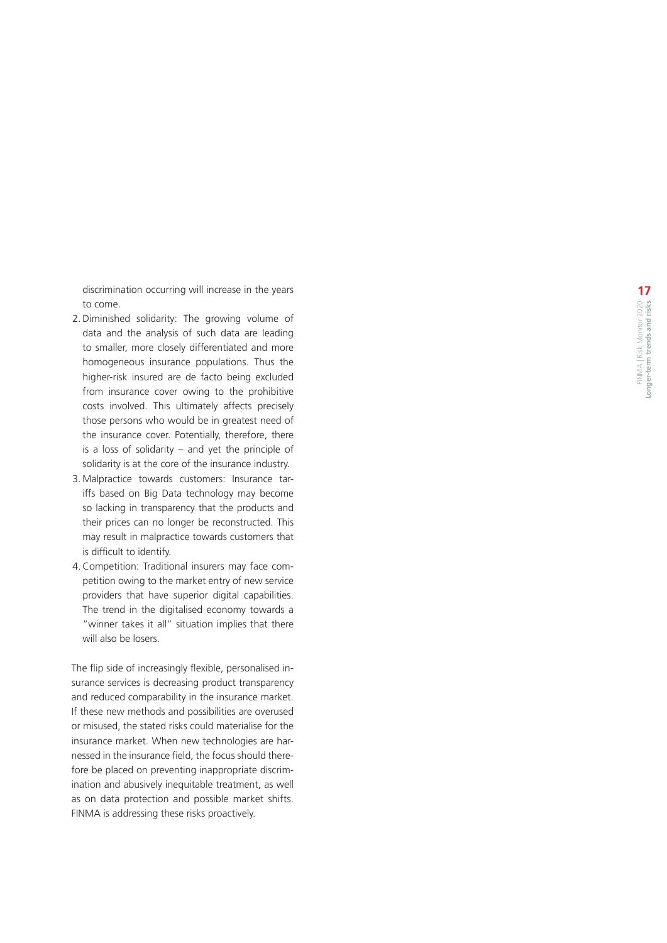discrimination occurring will increase in the years to come.

- 2.Diminished solidarity: The growing volume of data and the analysis of such data are leading to smaller, more closely differentiated and more homogeneous insurance populations. Thus the higher -risk insured are de facto being excluded from insurance cover owing to the prohibitive costs involved. This ultimately affects precisely those persons who would be in greatest need of the insurance cover. Potentially, therefore, there is a loss of solidarity  $-$  and yet the principle of solidarity is at the core of the insurance industry.
- 3. Malpractice towards customers: Insurance tar iffs based on Big Data technology may become so lacking in transparency that the products and their prices can no longer be reconstructed. This may result in malpractice towards customers that is difficult to identify.
- 4.Competition: Traditional insurers may face com petition owing to the market entry of new service providers that have superior digital capabilities. The trend in the digitalised economy towards a "winner takes it all" situation implies that there will also be losers.

The flip side of increasingly flexible, personalised in surance services is decreasing product transparency and reduced comparability in the insurance market. If these new methods and possibilities are overused or misused, the stated risks could materialise for the insurance market. When new technologies are har nessed in the insurance field, the focus should there fore be placed on preventing inappropriate discrim ination and abusively inequitable treatment, as well as on data protection and possible market shifts. FINMA is addressing these risks proactively.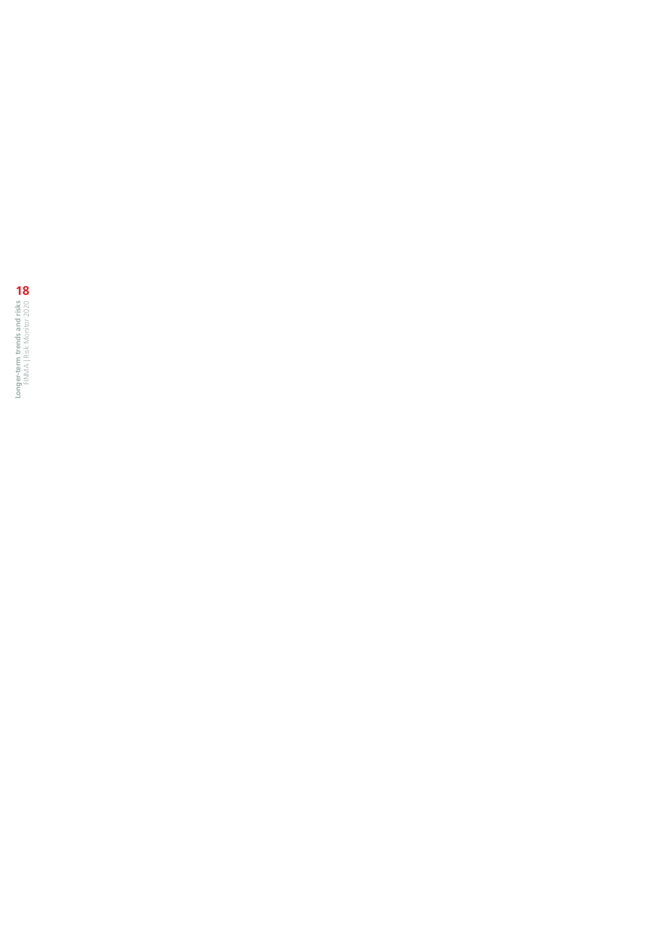**Longer-term trends and risks <br>FINMA Risk Monitor 2020 <b>00 Longer-term trends and risks** FINMA | Risk Monitor 2020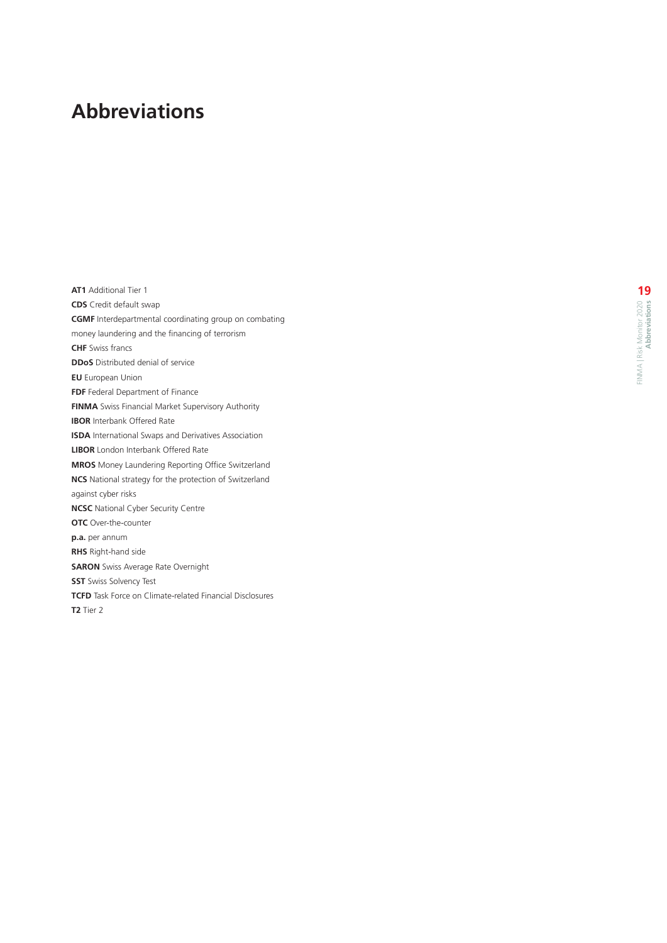# <span id="page-18-0"></span>**Abbreviations**

**AT1** Additional Tier 1 **CDS** Credit default swap **CGMF** Interdepartmental coordinating group on combating money laundering and the financing of terrorism **CHF** Swiss francs **DDoS** Distributed denial of service **EU** European Union **FDF** Federal Department of Finance **FINMA** Swiss Financial Market Supervisory Authority **IBOR** Interbank Offered Rate **ISDA** International Swaps and Derivatives Association **LIBOR** London Interbank Offered Rate **MROS** Money Laundering Reporting Office Switzerland **NCS** National strategy for the protection of Switzerland against cyber risks **NCSC** National Cyber Security Centre **OTC** Over-the-counter **p.a.** per annum **RHS** Right-hand side **SARON** Swiss Average Rate Overnight **SST** Swiss Solvency Test **TCFD** Task Force on Climate -related Financial Disclosures **T2** Tier 2